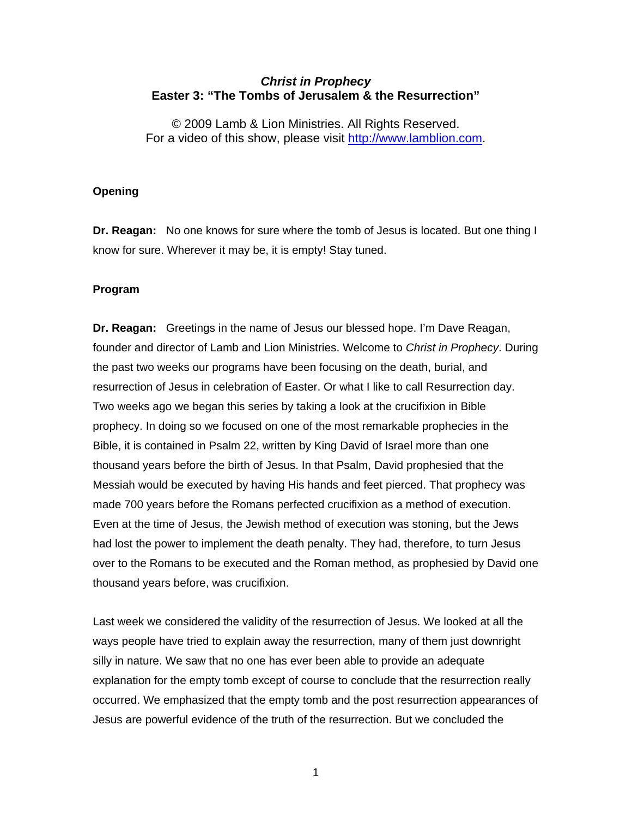## *Christ in Prophecy*  **Easter 3: "The Tombs of Jerusalem & the Resurrection"**

© 2009 Lamb & Lion Ministries. All Rights Reserved. For a video of this show, please visit [http://www.lamblion.com](http://www.lamblion.com/).

## **Opening**

**Dr. Reagan:** No one knows for sure where the tomb of Jesus is located. But one thing I know for sure. Wherever it may be, it is empty! Stay tuned.

## **Program**

**Dr. Reagan:** Greetings in the name of Jesus our blessed hope. I'm Dave Reagan, founder and director of Lamb and Lion Ministries. Welcome to *Christ in Prophecy*. During the past two weeks our programs have been focusing on the death, burial, and resurrection of Jesus in celebration of Easter. Or what I like to call Resurrection day. Two weeks ago we began this series by taking a look at the crucifixion in Bible prophecy. In doing so we focused on one of the most remarkable prophecies in the Bible, it is contained in Psalm 22, written by King David of Israel more than one thousand years before the birth of Jesus. In that Psalm, David prophesied that the Messiah would be executed by having His hands and feet pierced. That prophecy was made 700 years before the Romans perfected crucifixion as a method of execution. Even at the time of Jesus, the Jewish method of execution was stoning, but the Jews had lost the power to implement the death penalty. They had, therefore, to turn Jesus over to the Romans to be executed and the Roman method, as prophesied by David one thousand years before, was crucifixion.

Last week we considered the validity of the resurrection of Jesus. We looked at all the ways people have tried to explain away the resurrection, many of them just downright silly in nature. We saw that no one has ever been able to provide an adequate explanation for the empty tomb except of course to conclude that the resurrection really occurred. We emphasized that the empty tomb and the post resurrection appearances of Jesus are powerful evidence of the truth of the resurrection. But we concluded the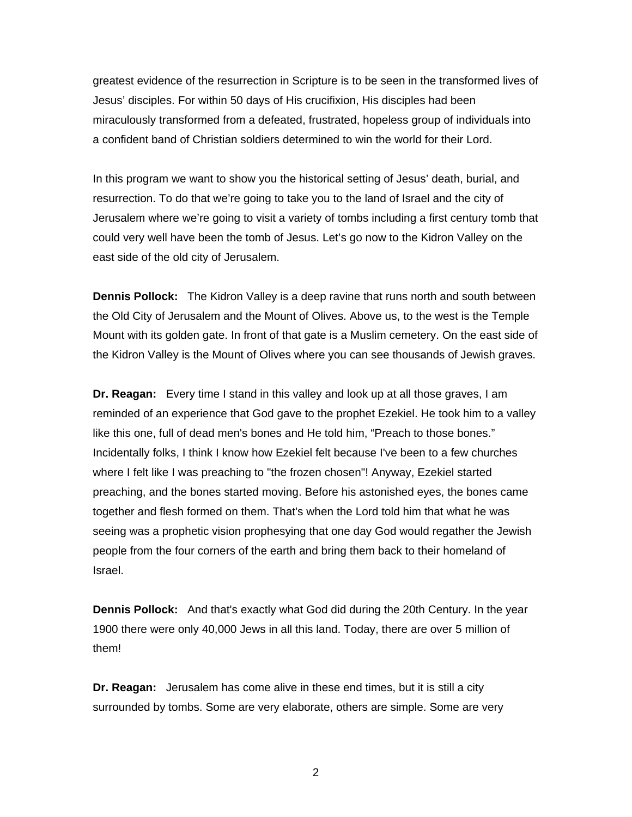greatest evidence of the resurrection in Scripture is to be seen in the transformed lives of Jesus' disciples. For within 50 days of His crucifixion, His disciples had been miraculously transformed from a defeated, frustrated, hopeless group of individuals into a confident band of Christian soldiers determined to win the world for their Lord.

In this program we want to show you the historical setting of Jesus' death, burial, and resurrection. To do that we're going to take you to the land of Israel and the city of Jerusalem where we're going to visit a variety of tombs including a first century tomb that could very well have been the tomb of Jesus. Let's go now to the Kidron Valley on the east side of the old city of Jerusalem.

**Dennis Pollock:** The Kidron Valley is a deep ravine that runs north and south between the Old City of Jerusalem and the Mount of Olives. Above us, to the west is the Temple Mount with its golden gate. In front of that gate is a Muslim cemetery. On the east side of the Kidron Valley is the Mount of Olives where you can see thousands of Jewish graves.

**Dr. Reagan:** Every time I stand in this valley and look up at all those graves, I am reminded of an experience that God gave to the prophet Ezekiel. He took him to a valley like this one, full of dead men's bones and He told him, "Preach to those bones." Incidentally folks, I think I know how Ezekiel felt because I've been to a few churches where I felt like I was preaching to "the frozen chosen"! Anyway, Ezekiel started preaching, and the bones started moving. Before his astonished eyes, the bones came together and flesh formed on them. That's when the Lord told him that what he was seeing was a prophetic vision prophesying that one day God would regather the Jewish people from the four corners of the earth and bring them back to their homeland of Israel.

**Dennis Pollock:** And that's exactly what God did during the 20th Century. In the year 1900 there were only 40,000 Jews in all this land. Today, there are over 5 million of them!

**Dr. Reagan:** Jerusalem has come alive in these end times, but it is still a city surrounded by tombs. Some are very elaborate, others are simple. Some are very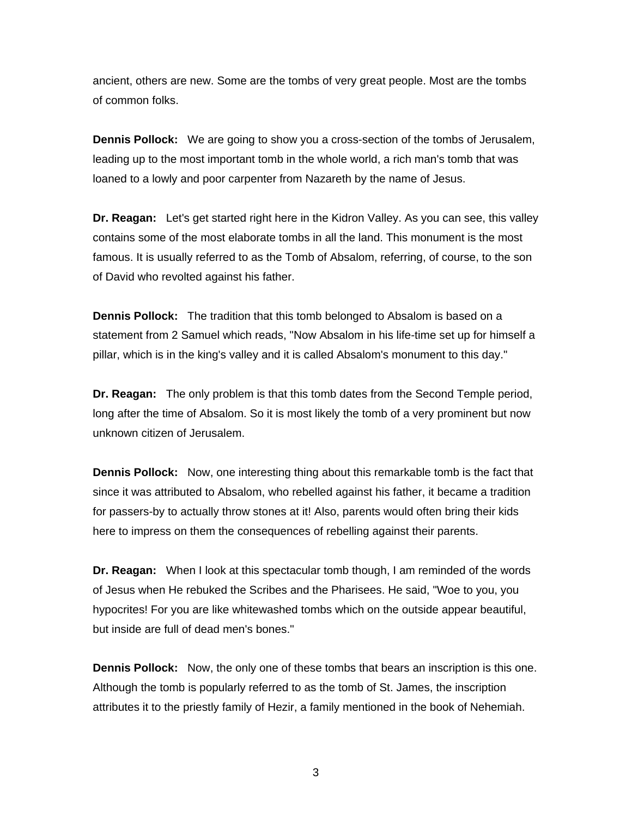ancient, others are new. Some are the tombs of very great people. Most are the tombs of common folks.

**Dennis Pollock:** We are going to show you a cross-section of the tombs of Jerusalem, leading up to the most important tomb in the whole world, a rich man's tomb that was loaned to a lowly and poor carpenter from Nazareth by the name of Jesus.

**Dr. Reagan:** Let's get started right here in the Kidron Valley. As you can see, this valley contains some of the most elaborate tombs in all the land. This monument is the most famous. It is usually referred to as the Tomb of Absalom, referring, of course, to the son of David who revolted against his father.

**Dennis Pollock:** The tradition that this tomb belonged to Absalom is based on a statement from 2 Samuel which reads, "Now Absalom in his life-time set up for himself a pillar, which is in the king's valley and it is called Absalom's monument to this day."

**Dr. Reagan:** The only problem is that this tomb dates from the Second Temple period, long after the time of Absalom. So it is most likely the tomb of a very prominent but now unknown citizen of Jerusalem.

**Dennis Pollock:** Now, one interesting thing about this remarkable tomb is the fact that since it was attributed to Absalom, who rebelled against his father, it became a tradition for passers-by to actually throw stones at it! Also, parents would often bring their kids here to impress on them the consequences of rebelling against their parents.

**Dr. Reagan:** When I look at this spectacular tomb though, I am reminded of the words of Jesus when He rebuked the Scribes and the Pharisees. He said, "Woe to you, you hypocrites! For you are like whitewashed tombs which on the outside appear beautiful, but inside are full of dead men's bones."

**Dennis Pollock:** Now, the only one of these tombs that bears an inscription is this one. Although the tomb is popularly referred to as the tomb of St. James, the inscription attributes it to the priestly family of Hezir, a family mentioned in the book of Nehemiah.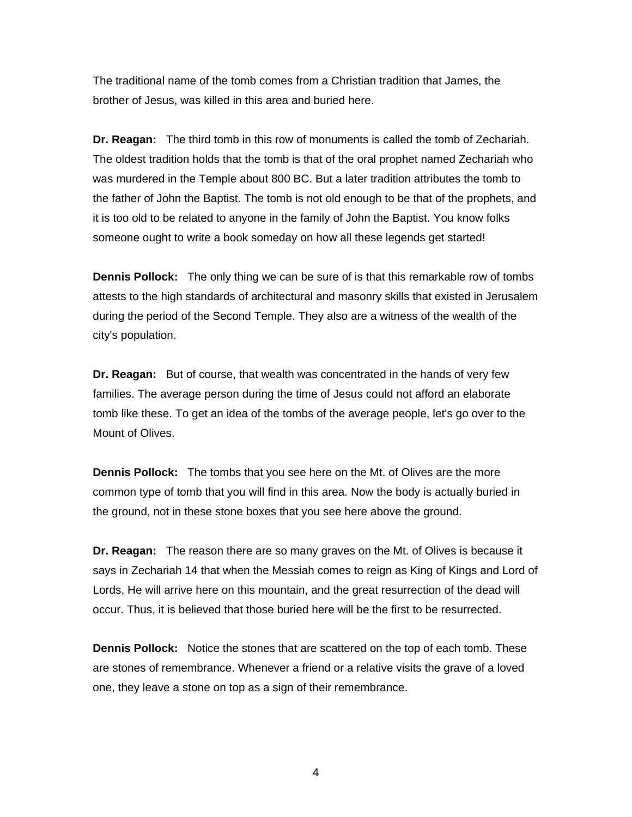The traditional name of the tomb comes from a Christian tradition that James, the brother of Jesus, was killed in this area and buried here.

**Dr. Reagan:** The third tomb in this row of monuments is called the tomb of Zechariah. The oldest tradition holds that the tomb is that of the oral prophet named Zechariah who was murdered in the Temple about 800 BC. But a later tradition attributes the tomb to the father of John the Baptist. The tomb is not old enough to be that of the prophets, and it is too old to be related to anyone in the family of John the Baptist. You know folks someone ought to write a book someday on how all these legends get started!

**Dennis Pollock:** The only thing we can be sure of is that this remarkable row of tombs attests to the high standards of architectural and masonry skills that existed in Jerusalem during the period of the Second Temple. They also are a witness of the wealth of the city's population.

**Dr. Reagan:** But of course, that wealth was concentrated in the hands of very few families. The average person during the time of Jesus could not afford an elaborate tomb like these. To get an idea of the tombs of the average people, let's go over to the Mount of Olives.

**Dennis Pollock:** The tombs that you see here on the Mt. of Olives are the more common type of tomb that you will find in this area. Now the body is actually buried in the ground, not in these stone boxes that you see here above the ground.

**Dr. Reagan:** The reason there are so many graves on the Mt. of Olives is because it says in Zechariah 14 that when the Messiah comes to reign as King of Kings and Lord of Lords, He will arrive here on this mountain, and the great resurrection of the dead will occur. Thus, it is believed that those buried here will be the first to be resurrected.

**Dennis Pollock:** Notice the stones that are scattered on the top of each tomb. These are stones of remembrance. Whenever a friend or a relative visits the grave of a loved one, they leave a stone on top as a sign of their remembrance.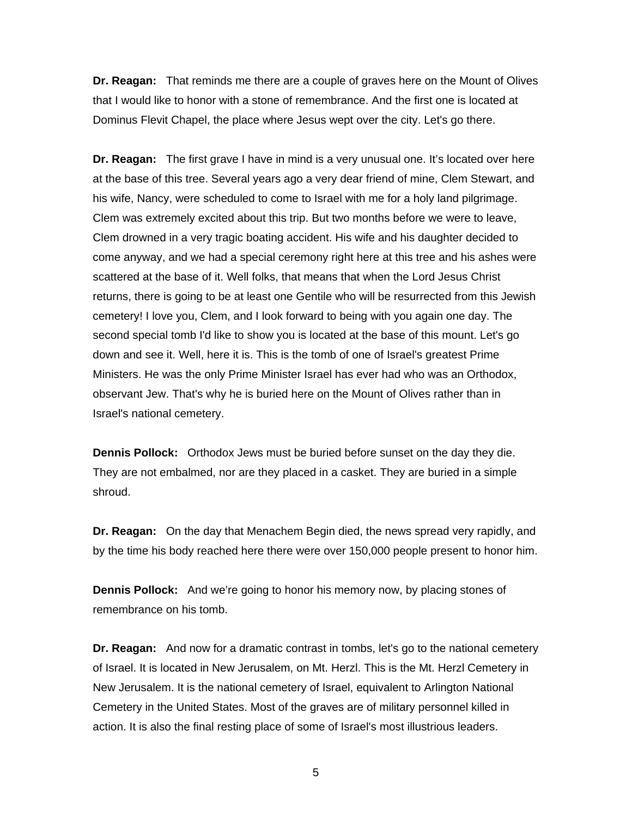**Dr. Reagan:** That reminds me there are a couple of graves here on the Mount of Olives that I would like to honor with a stone of remembrance. And the first one is located at Dominus Flevit Chapel, the place where Jesus wept over the city. Let's go there.

**Dr. Reagan:** The first grave I have in mind is a very unusual one. It's located over here at the base of this tree. Several years ago a very dear friend of mine, Clem Stewart, and his wife, Nancy, were scheduled to come to Israel with me for a holy land pilgrimage. Clem was extremely excited about this trip. But two months before we were to leave, Clem drowned in a very tragic boating accident. His wife and his daughter decided to come anyway, and we had a special ceremony right here at this tree and his ashes were scattered at the base of it. Well folks, that means that when the Lord Jesus Christ returns, there is going to be at least one Gentile who will be resurrected from this Jewish cemetery! I love you, Clem, and I look forward to being with you again one day. The second special tomb I'd like to show you is located at the base of this mount. Let's go down and see it. Well, here it is. This is the tomb of one of Israel's greatest Prime Ministers. He was the only Prime Minister Israel has ever had who was an Orthodox, observant Jew. That's why he is buried here on the Mount of Olives rather than in Israel's national cemetery.

**Dennis Pollock:** Orthodox Jews must be buried before sunset on the day they die. They are not embalmed, nor are they placed in a casket. They are buried in a simple shroud.

**Dr. Reagan:** On the day that Menachem Begin died, the news spread very rapidly, and by the time his body reached here there were over 150,000 people present to honor him.

**Dennis Pollock:** And we're going to honor his memory now, by placing stones of remembrance on his tomb.

**Dr. Reagan:** And now for a dramatic contrast in tombs, let's go to the national cemetery of Israel. It is located in New Jerusalem, on Mt. Herzl. This is the Mt. Herzl Cemetery in New Jerusalem. It is the national cemetery of Israel, equivalent to Arlington National Cemetery in the United States. Most of the graves are of military personnel killed in action. It is also the final resting place of some of Israel's most illustrious leaders.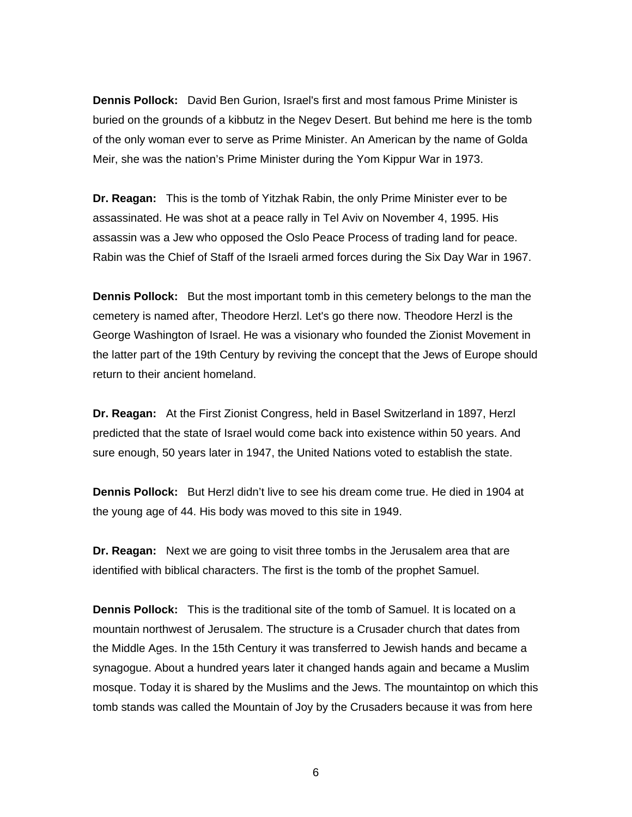**Dennis Pollock:** David Ben Gurion, Israel's first and most famous Prime Minister is buried on the grounds of a kibbutz in the Negev Desert. But behind me here is the tomb of the only woman ever to serve as Prime Minister. An American by the name of Golda Meir, she was the nation's Prime Minister during the Yom Kippur War in 1973.

**Dr. Reagan:** This is the tomb of Yitzhak Rabin, the only Prime Minister ever to be assassinated. He was shot at a peace rally in Tel Aviv on November 4, 1995. His assassin was a Jew who opposed the Oslo Peace Process of trading land for peace. Rabin was the Chief of Staff of the Israeli armed forces during the Six Day War in 1967.

**Dennis Pollock:** But the most important tomb in this cemetery belongs to the man the cemetery is named after, Theodore Herzl. Let's go there now. Theodore Herzl is the George Washington of Israel. He was a visionary who founded the Zionist Movement in the latter part of the 19th Century by reviving the concept that the Jews of Europe should return to their ancient homeland.

**Dr. Reagan:** At the First Zionist Congress, held in Basel Switzerland in 1897, Herzl predicted that the state of Israel would come back into existence within 50 years. And sure enough, 50 years later in 1947, the United Nations voted to establish the state.

**Dennis Pollock:** But Herzl didn't live to see his dream come true. He died in 1904 at the young age of 44. His body was moved to this site in 1949.

**Dr. Reagan:** Next we are going to visit three tombs in the Jerusalem area that are identified with biblical characters. The first is the tomb of the prophet Samuel.

**Dennis Pollock:** This is the traditional site of the tomb of Samuel. It is located on a mountain northwest of Jerusalem. The structure is a Crusader church that dates from the Middle Ages. In the 15th Century it was transferred to Jewish hands and became a synagogue. About a hundred years later it changed hands again and became a Muslim mosque. Today it is shared by the Muslims and the Jews. The mountaintop on which this tomb stands was called the Mountain of Joy by the Crusaders because it was from here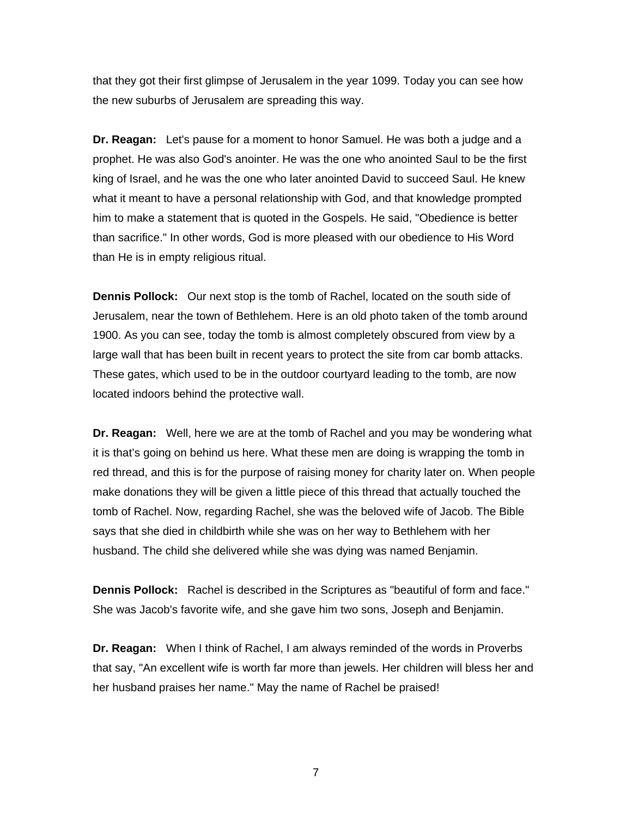that they got their first glimpse of Jerusalem in the year 1099. Today you can see how the new suburbs of Jerusalem are spreading this way.

**Dr. Reagan:** Let's pause for a moment to honor Samuel. He was both a judge and a prophet. He was also God's anointer. He was the one who anointed Saul to be the first king of Israel, and he was the one who later anointed David to succeed Saul. He knew what it meant to have a personal relationship with God, and that knowledge prompted him to make a statement that is quoted in the Gospels. He said, "Obedience is better than sacrifice." In other words, God is more pleased with our obedience to His Word than He is in empty religious ritual.

**Dennis Pollock:** Our next stop is the tomb of Rachel, located on the south side of Jerusalem, near the town of Bethlehem. Here is an old photo taken of the tomb around 1900. As you can see, today the tomb is almost completely obscured from view by a large wall that has been built in recent years to protect the site from car bomb attacks. These gates, which used to be in the outdoor courtyard leading to the tomb, are now located indoors behind the protective wall.

**Dr. Reagan:** Well, here we are at the tomb of Rachel and you may be wondering what it is that's going on behind us here. What these men are doing is wrapping the tomb in red thread, and this is for the purpose of raising money for charity later on. When people make donations they will be given a little piece of this thread that actually touched the tomb of Rachel. Now, regarding Rachel, she was the beloved wife of Jacob. The Bible says that she died in childbirth while she was on her way to Bethlehem with her husband. The child she delivered while she was dying was named Benjamin.

**Dennis Pollock:** Rachel is described in the Scriptures as "beautiful of form and face." She was Jacob's favorite wife, and she gave him two sons, Joseph and Benjamin.

**Dr. Reagan:** When I think of Rachel, I am always reminded of the words in Proverbs that say, "An excellent wife is worth far more than jewels. Her children will bless her and her husband praises her name." May the name of Rachel be praised!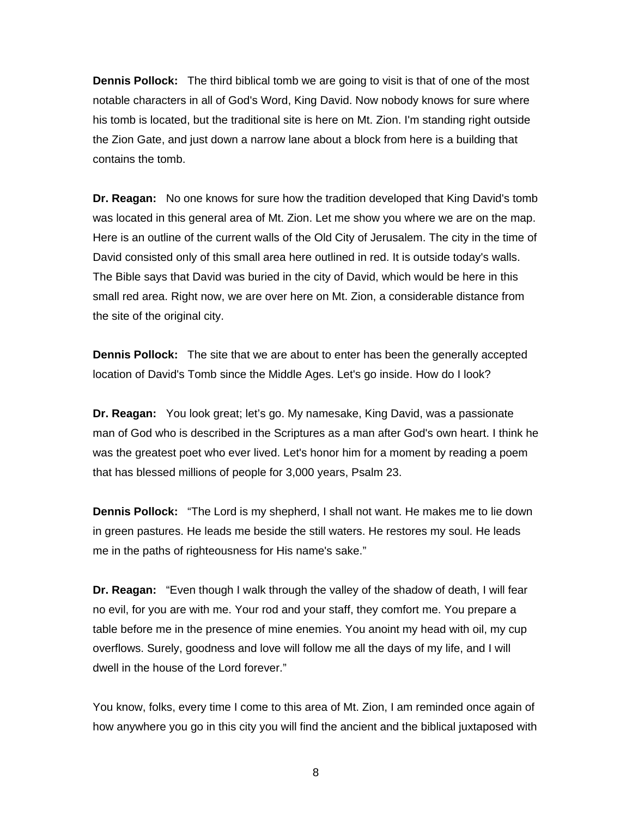**Dennis Pollock:** The third biblical tomb we are going to visit is that of one of the most notable characters in all of God's Word, King David. Now nobody knows for sure where his tomb is located, but the traditional site is here on Mt. Zion. I'm standing right outside the Zion Gate, and just down a narrow lane about a block from here is a building that contains the tomb.

**Dr. Reagan:** No one knows for sure how the tradition developed that King David's tomb was located in this general area of Mt. Zion. Let me show you where we are on the map. Here is an outline of the current walls of the Old City of Jerusalem. The city in the time of David consisted only of this small area here outlined in red. It is outside today's walls. The Bible says that David was buried in the city of David, which would be here in this small red area. Right now, we are over here on Mt. Zion, a considerable distance from the site of the original city.

**Dennis Pollock:** The site that we are about to enter has been the generally accepted location of David's Tomb since the Middle Ages. Let's go inside. How do I look?

**Dr. Reagan:** You look great; let's go. My namesake, King David, was a passionate man of God who is described in the Scriptures as a man after God's own heart. I think he was the greatest poet who ever lived. Let's honor him for a moment by reading a poem that has blessed millions of people for 3,000 years, Psalm 23.

**Dennis Pollock:** "The Lord is my shepherd, I shall not want. He makes me to lie down in green pastures. He leads me beside the still waters. He restores my soul. He leads me in the paths of righteousness for His name's sake."

**Dr. Reagan:** "Even though I walk through the valley of the shadow of death, I will fear no evil, for you are with me. Your rod and your staff, they comfort me. You prepare a table before me in the presence of mine enemies. You anoint my head with oil, my cup overflows. Surely, goodness and love will follow me all the days of my life, and I will dwell in the house of the Lord forever."

You know, folks, every time I come to this area of Mt. Zion, I am reminded once again of how anywhere you go in this city you will find the ancient and the biblical juxtaposed with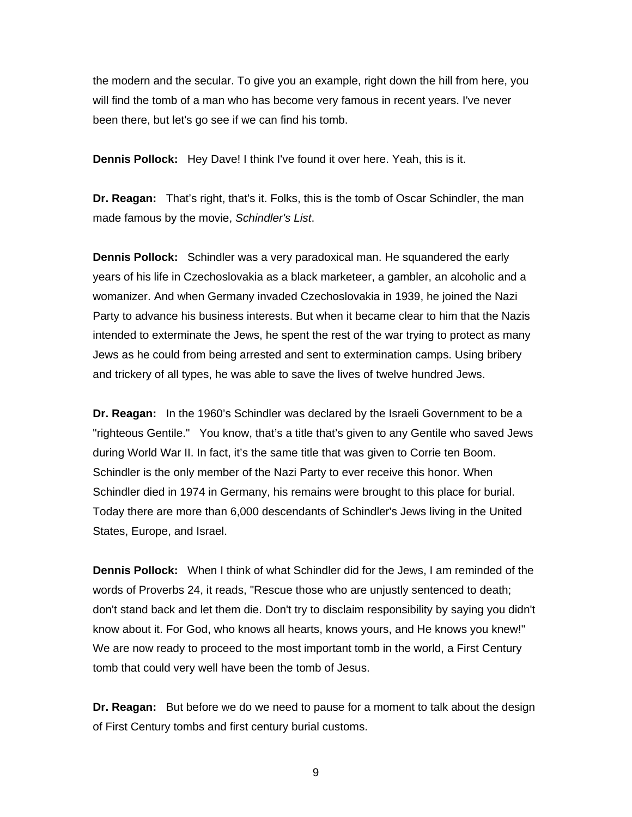the modern and the secular. To give you an example, right down the hill from here, you will find the tomb of a man who has become very famous in recent years. I've never been there, but let's go see if we can find his tomb.

**Dennis Pollock:** Hey Dave! I think I've found it over here. Yeah, this is it.

**Dr. Reagan:** That's right, that's it. Folks, this is the tomb of Oscar Schindler, the man made famous by the movie, *Schindler's List*.

**Dennis Pollock:** Schindler was a very paradoxical man. He squandered the early years of his life in Czechoslovakia as a black marketeer, a gambler, an alcoholic and a womanizer. And when Germany invaded Czechoslovakia in 1939, he joined the Nazi Party to advance his business interests. But when it became clear to him that the Nazis intended to exterminate the Jews, he spent the rest of the war trying to protect as many Jews as he could from being arrested and sent to extermination camps. Using bribery and trickery of all types, he was able to save the lives of twelve hundred Jews.

**Dr. Reagan:** In the 1960's Schindler was declared by the Israeli Government to be a "righteous Gentile." You know, that's a title that's given to any Gentile who saved Jews during World War II. In fact, it's the same title that was given to Corrie ten Boom. Schindler is the only member of the Nazi Party to ever receive this honor. When Schindler died in 1974 in Germany, his remains were brought to this place for burial. Today there are more than 6,000 descendants of Schindler's Jews living in the United States, Europe, and Israel.

**Dennis Pollock:** When I think of what Schindler did for the Jews, I am reminded of the words of Proverbs 24, it reads, "Rescue those who are unjustly sentenced to death; don't stand back and let them die. Don't try to disclaim responsibility by saying you didn't know about it. For God, who knows all hearts, knows yours, and He knows you knew!" We are now ready to proceed to the most important tomb in the world, a First Century tomb that could very well have been the tomb of Jesus.

**Dr. Reagan:** But before we do we need to pause for a moment to talk about the design of First Century tombs and first century burial customs.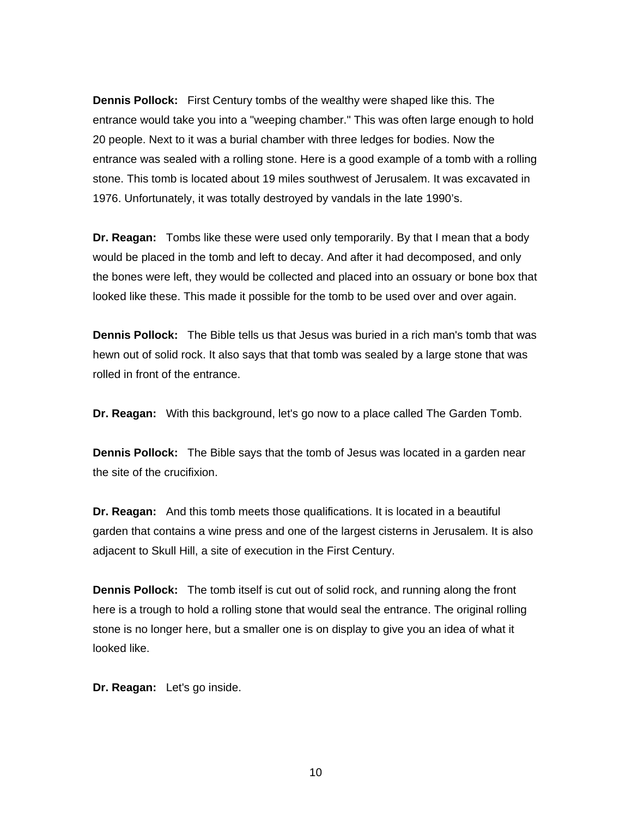**Dennis Pollock:** First Century tombs of the wealthy were shaped like this. The entrance would take you into a "weeping chamber." This was often large enough to hold 20 people. Next to it was a burial chamber with three ledges for bodies. Now the entrance was sealed with a rolling stone. Here is a good example of a tomb with a rolling stone. This tomb is located about 19 miles southwest of Jerusalem. It was excavated in 1976. Unfortunately, it was totally destroyed by vandals in the late 1990's.

**Dr. Reagan:** Tombs like these were used only temporarily. By that I mean that a body would be placed in the tomb and left to decay. And after it had decomposed, and only the bones were left, they would be collected and placed into an ossuary or bone box that looked like these. This made it possible for the tomb to be used over and over again.

**Dennis Pollock:** The Bible tells us that Jesus was buried in a rich man's tomb that was hewn out of solid rock. It also says that that tomb was sealed by a large stone that was rolled in front of the entrance.

**Dr. Reagan:** With this background, let's go now to a place called The Garden Tomb.

**Dennis Pollock:** The Bible says that the tomb of Jesus was located in a garden near the site of the crucifixion.

**Dr. Reagan:** And this tomb meets those qualifications. It is located in a beautiful garden that contains a wine press and one of the largest cisterns in Jerusalem. It is also adjacent to Skull Hill, a site of execution in the First Century.

**Dennis Pollock:** The tomb itself is cut out of solid rock, and running along the front here is a trough to hold a rolling stone that would seal the entrance. The original rolling stone is no longer here, but a smaller one is on display to give you an idea of what it looked like.

**Dr. Reagan:** Let's go inside.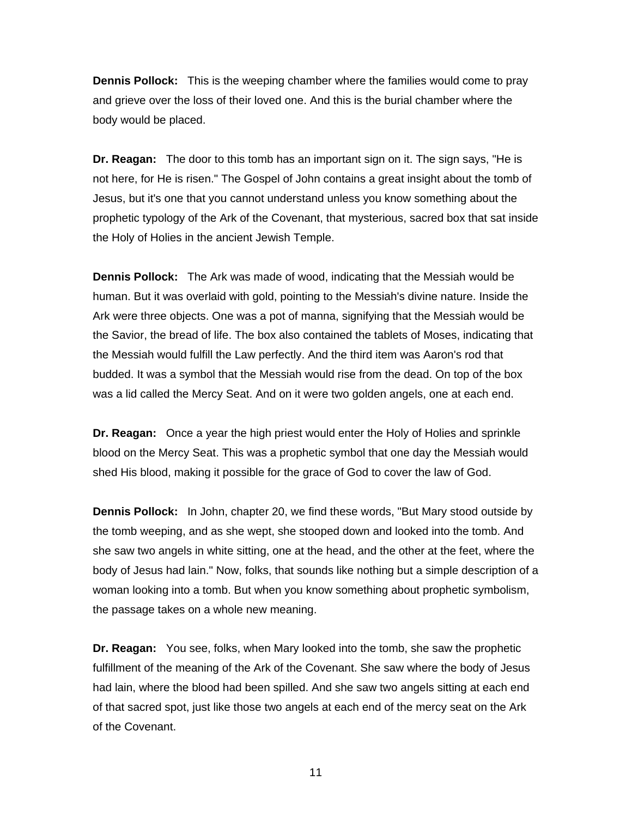**Dennis Pollock:** This is the weeping chamber where the families would come to pray and grieve over the loss of their loved one. And this is the burial chamber where the body would be placed.

**Dr. Reagan:** The door to this tomb has an important sign on it. The sign says, "He is not here, for He is risen." The Gospel of John contains a great insight about the tomb of Jesus, but it's one that you cannot understand unless you know something about the prophetic typology of the Ark of the Covenant, that mysterious, sacred box that sat inside the Holy of Holies in the ancient Jewish Temple.

**Dennis Pollock:** The Ark was made of wood, indicating that the Messiah would be human. But it was overlaid with gold, pointing to the Messiah's divine nature. Inside the Ark were three objects. One was a pot of manna, signifying that the Messiah would be the Savior, the bread of life. The box also contained the tablets of Moses, indicating that the Messiah would fulfill the Law perfectly. And the third item was Aaron's rod that budded. It was a symbol that the Messiah would rise from the dead. On top of the box was a lid called the Mercy Seat. And on it were two golden angels, one at each end.

**Dr. Reagan:** Once a year the high priest would enter the Holy of Holies and sprinkle blood on the Mercy Seat. This was a prophetic symbol that one day the Messiah would shed His blood, making it possible for the grace of God to cover the law of God.

**Dennis Pollock:** In John, chapter 20, we find these words, "But Mary stood outside by the tomb weeping, and as she wept, she stooped down and looked into the tomb. And she saw two angels in white sitting, one at the head, and the other at the feet, where the body of Jesus had lain." Now, folks, that sounds like nothing but a simple description of a woman looking into a tomb. But when you know something about prophetic symbolism, the passage takes on a whole new meaning.

**Dr. Reagan:** You see, folks, when Mary looked into the tomb, she saw the prophetic fulfillment of the meaning of the Ark of the Covenant. She saw where the body of Jesus had lain, where the blood had been spilled. And she saw two angels sitting at each end of that sacred spot, just like those two angels at each end of the mercy seat on the Ark of the Covenant.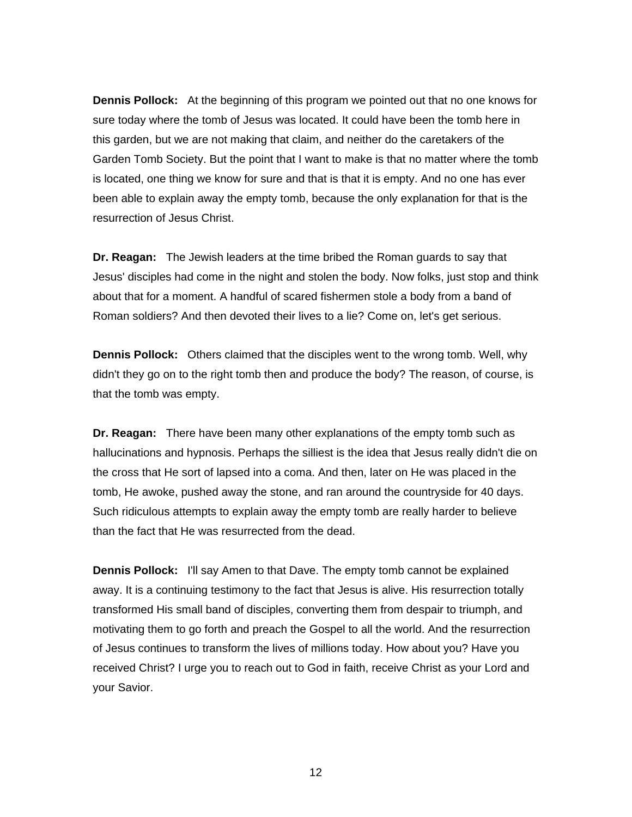**Dennis Pollock:** At the beginning of this program we pointed out that no one knows for sure today where the tomb of Jesus was located. It could have been the tomb here in this garden, but we are not making that claim, and neither do the caretakers of the Garden Tomb Society. But the point that I want to make is that no matter where the tomb is located, one thing we know for sure and that is that it is empty. And no one has ever been able to explain away the empty tomb, because the only explanation for that is the resurrection of Jesus Christ.

**Dr. Reagan:** The Jewish leaders at the time bribed the Roman guards to say that Jesus' disciples had come in the night and stolen the body. Now folks, just stop and think about that for a moment. A handful of scared fishermen stole a body from a band of Roman soldiers? And then devoted their lives to a lie? Come on, let's get serious.

**Dennis Pollock:** Others claimed that the disciples went to the wrong tomb. Well, why didn't they go on to the right tomb then and produce the body? The reason, of course, is that the tomb was empty.

**Dr. Reagan:** There have been many other explanations of the empty tomb such as hallucinations and hypnosis. Perhaps the silliest is the idea that Jesus really didn't die on the cross that He sort of lapsed into a coma. And then, later on He was placed in the tomb, He awoke, pushed away the stone, and ran around the countryside for 40 days. Such ridiculous attempts to explain away the empty tomb are really harder to believe than the fact that He was resurrected from the dead.

**Dennis Pollock:** I'll say Amen to that Dave. The empty tomb cannot be explained away. It is a continuing testimony to the fact that Jesus is alive. His resurrection totally transformed His small band of disciples, converting them from despair to triumph, and motivating them to go forth and preach the Gospel to all the world. And the resurrection of Jesus continues to transform the lives of millions today. How about you? Have you received Christ? I urge you to reach out to God in faith, receive Christ as your Lord and your Savior.